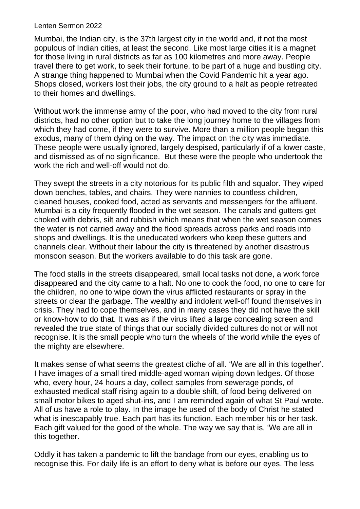## Lenten Sermon 2022

Mumbai, the Indian city, is the 37th largest city in the world and, if not the most populous of Indian cities, at least the second. Like most large cities it is a magnet for those living in rural districts as far as 100 kilometres and more away. People travel there to get work, to seek their fortune, to be part of a huge and bustling city. A strange thing happened to Mumbai when the Covid Pandemic hit a year ago. Shops closed, workers lost their jobs, the city ground to a halt as people retreated to their homes and dwellings.

Without work the immense army of the poor, who had moved to the city from rural districts, had no other option but to take the long journey home to the villages from which they had come, if they were to survive. More than a million people began this exodus, many of them dying on the way. The impact on the city was immediate. These people were usually ignored, largely despised, particularly if of a lower caste, and dismissed as of no significance. But these were the people who undertook the work the rich and well-off would not do.

They swept the streets in a city notorious for its public filth and squalor. They wiped down benches, tables, and chairs. They were nannies to countless children, cleaned houses, cooked food, acted as servants and messengers for the affluent. Mumbai is a city frequently flooded in the wet season. The canals and gutters get choked with debris, silt and rubbish which means that when the wet season comes the water is not carried away and the flood spreads across parks and roads into shops and dwellings. It is the uneducated workers who keep these gutters and channels clear. Without their labour the city is threatened by another disastrous monsoon season. But the workers available to do this task are gone.

The food stalls in the streets disappeared, small local tasks not done, a work force disappeared and the city came to a halt. No one to cook the food, no one to care for the children, no one to wipe down the virus afflicted restaurants or spray in the streets or clear the garbage. The wealthy and indolent well-off found themselves in crisis. They had to cope themselves, and in many cases they did not have the skill or know-how to do that. It was as if the virus lifted a large concealing screen and revealed the true state of things that our socially divided cultures do not or will not recognise. It is the small people who turn the wheels of the world while the eyes of the mighty are elsewhere.

It makes sense of what seems the greatest cliche of all. 'We are all in this together'. I have images of a small tired middle-aged woman wiping down ledges. Of those who, every hour, 24 hours a day, collect samples from sewerage ponds, of exhausted medical staff rising again to a double shift, of food being delivered on small motor bikes to aged shut-ins, and I am reminded again of what St Paul wrote. All of us have a role to play. In the image he used of the body of Christ he stated what is inescapably true. Each part has its function. Each member his or her task. Each gift valued for the good of the whole. The way we say that is, 'We are all in this together.

Oddly it has taken a pandemic to lift the bandage from our eyes, enabling us to recognise this. For daily life is an effort to deny what is before our eyes. The less